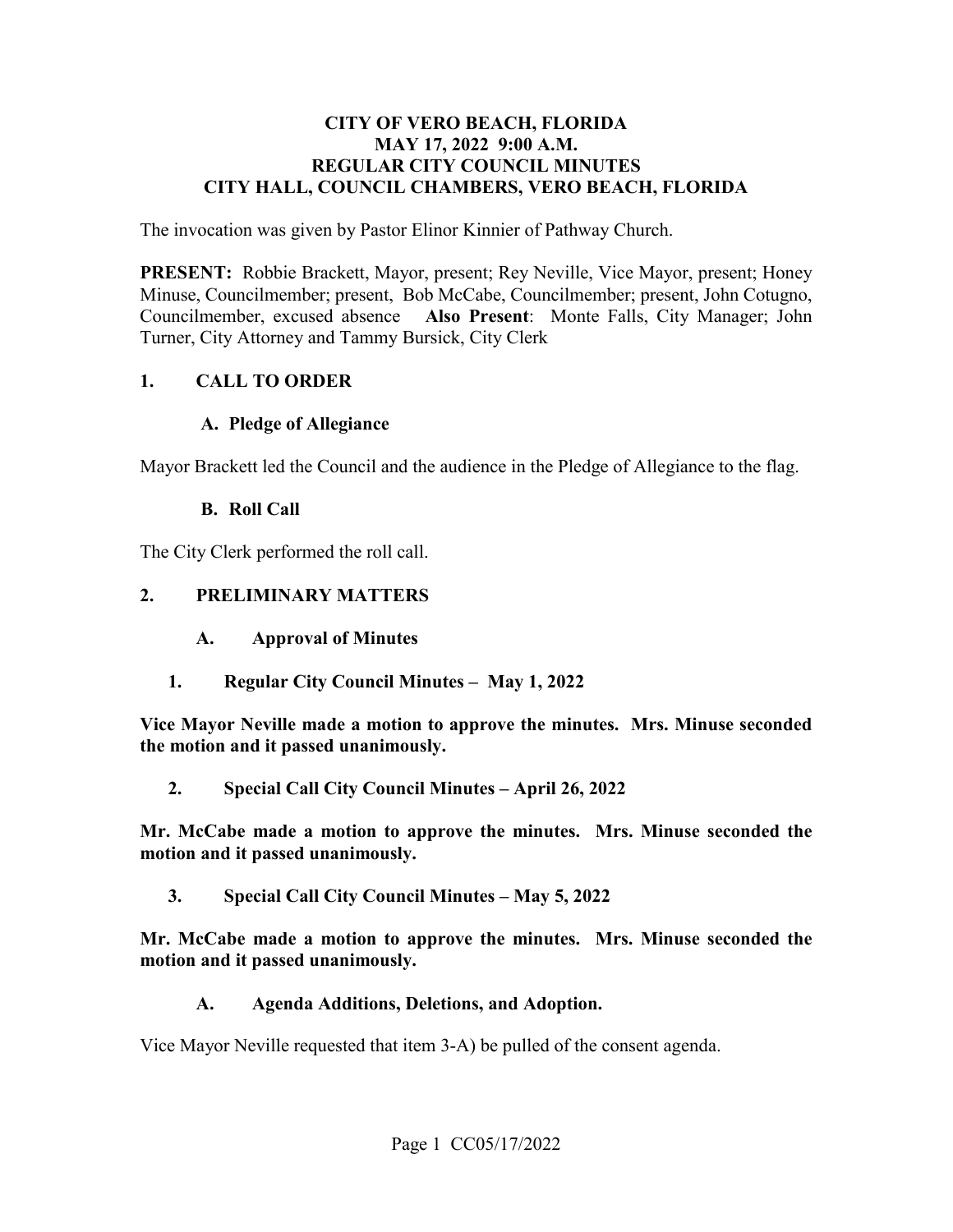#### **CITY OF VERO BEACH, FLORIDA MAY 17, 2022 9:00 A.M. REGULAR CITY COUNCIL MINUTES CITY HALL, COUNCIL CHAMBERS, VERO BEACH, FLORIDA**

The invocation was given by Pastor Elinor Kinnier of Pathway Church.

 **PRESENT:** Robbie Brackett, Mayor, present; Rey Neville, Vice Mayor, present; Honey Minuse, Councilmember; present, Bob McCabe, Councilmember; present, John Cotugno, Turner, City Attorney and Tammy Bursick, City Clerk Councilmember, excused absence **Also Present**: Monte Falls, City Manager; John

### **1. CALL TO ORDER**

#### **A. Pledge of Allegiance**

Mayor Brackett led the Council and the audience in the Pledge of Allegiance to the flag.

#### **B. Roll Call**

The City Clerk performed the roll call.

#### **2. PRELIMINARY MATTERS**

- $\mathbf{A}$ . **Approval of Minutes**
- **1. Regular City Council Minutes May 1, 2022**

 **Vice Mayor Neville made a motion to approve the minutes. Mrs. Minuse seconded the motion and it passed unanimously.** 

**2. Special Call City Council Minutes – April 26, 2022** 

**Mr. McCabe made a motion to approve the minutes. Mrs. Minuse seconded the motion and it passed unanimously.** 

**3. Special Call City Council Minutes – May 5, 2022** 

**Mr. McCabe made a motion to approve the minutes. Mrs. Minuse seconded the motion and it passed unanimously.** 

**A. Agenda Additions, Deletions, and Adoption.** 

Vice Mayor Neville requested that item 3-A) be pulled of the consent agenda.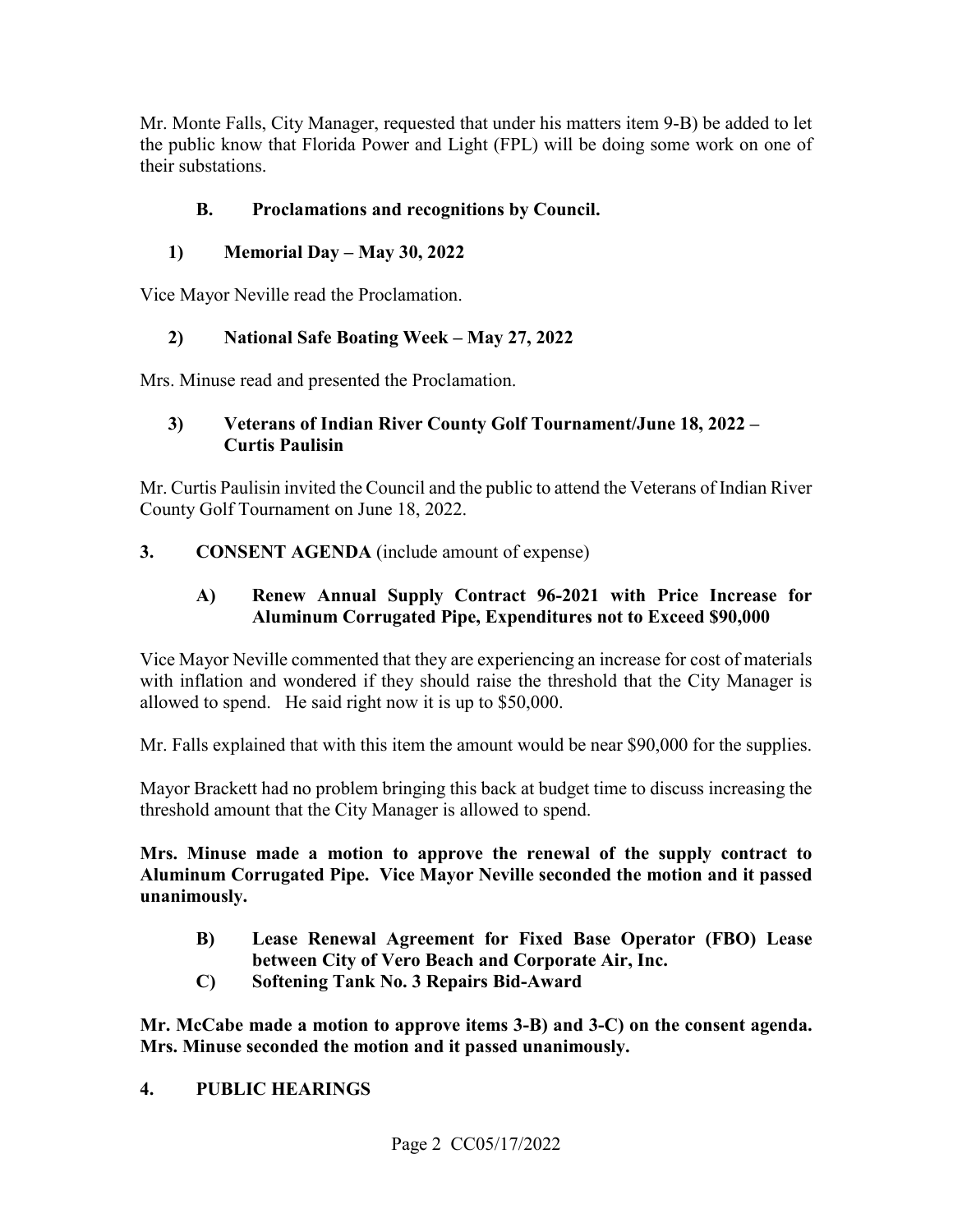Mr. Monte Falls, City Manager, requested that under his matters item 9-B) be added to let the public know that Florida Power and Light (FPL) will be doing some work on one of their substations.

# **B. Proclamations and recognitions by Council.**

## **1) Memorial Day – May 30, 2022**

Vice Mayor Neville read the Proclamation.

# **2) National Safe Boating Week – May 27, 2022**

Mrs. Minuse read and presented the Proclamation.

## **3) Veterans of Indian River County Golf Tournament/June 18, 2022 – Curtis Paulisin**

 Mr. Curtis Paulisin invited the Council and the public to attend the Veterans of Indian River County Golf Tournament on June 18, 2022.

## **3. CONSENT AGENDA** (include amount of expense)

## **A) Renew Annual Supply Contract 96-2021 with Price Increase for Aluminum Corrugated Pipe, Expenditures not to Exceed \$90,000**

 Vice Mayor Neville commented that they are experiencing an increase for cost of materials allowed to spend. He said right now it is up to \$50,000. with inflation and wondered if they should raise the threshold that the City Manager is

Mr. Falls explained that with this item the amount would be near \$90,000 for the supplies.

Mayor Brackett had no problem bringing this back at budget time to discuss increasing the threshold amount that the City Manager is allowed to spend.

 **Mrs. Minuse made a motion to approve the renewal of the supply contract to Aluminum Corrugated Pipe. Vice Mayor Neville seconded the motion and it passed unanimously.** 

- **B) Lease Renewal Agreement for Fixed Base Operator (FBO) Lease between City of Vero Beach and Corporate Air, Inc.**
- **C) Softening Tank No. 3 Repairs Bid-Award**

 **Mr. McCabe made a motion to approve items 3-B) and 3-C) on the consent agenda. Mrs. Minuse seconded the motion and it passed unanimously.** 

## **4. PUBLIC HEARINGS**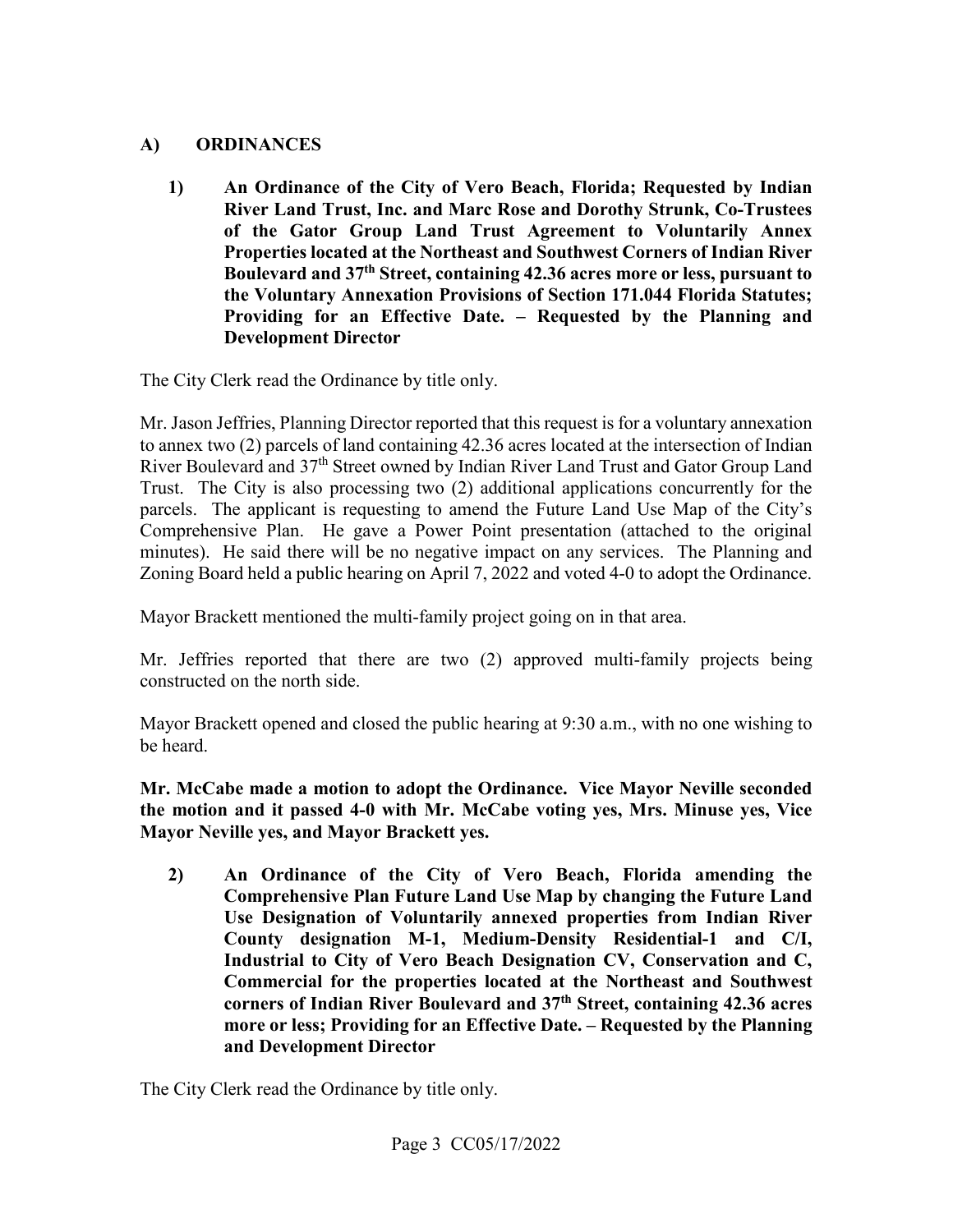## **A) ORDINANCES**

**1) An Ordinance of the City of Vero Beach, Florida; Requested by Indian River Land Trust, Inc. and Marc Rose and Dorothy Strunk, Co-Trustees of the Gator Group Land Trust Agreement to Voluntarily Annex Properties located at the Northeast and Southwest Corners of Indian River Boulevard and 37th Street, containing 42.36 acres more or less, pursuant to the Voluntary Annexation Provisions of Section 171.044 Florida Statutes; Providing for an Effective Date. – Requested by the Planning and Development Director** 

The City Clerk read the Ordinance by title only.

River Boulevard and 37<sup>th</sup> Street owned by Indian River Land Trust and Gator Group Land Comprehensive Plan. He gave a Power Point presentation (attached to the original minutes). He said there will be no negative impact on any services. The Planning and Mr. Jason Jeffries, Planning Director reported that this request is for a voluntary annexation to annex two (2) parcels of land containing 42.36 acres located at the intersection of Indian Trust. The City is also processing two (2) additional applications concurrently for the parcels. The applicant is requesting to amend the Future Land Use Map of the City's Zoning Board held a public hearing on April 7, 2022 and voted 4-0 to adopt the Ordinance.

Mayor Brackett mentioned the multi-family project going on in that area.

 Mr. Jeffries reported that there are two (2) approved multi-family projects being constructed on the north side.

Mayor Brackett opened and closed the public hearing at 9:30 a.m., with no one wishing to be heard.

**Mr. McCabe made a motion to adopt the Ordinance. Vice Mayor Neville seconded the motion and it passed 4-0 with Mr. McCabe voting yes, Mrs. Minuse yes, Vice Mayor Neville yes, and Mayor Brackett yes.** 

 **Comprehensive Plan Future Land Use Map by changing the Future Land 2) An Ordinance of the City of Vero Beach, Florida amending the Use Designation of Voluntarily annexed properties from Indian River County designation M-1, Medium-Density Residential-1 and C/I, Industrial to City of Vero Beach Designation CV, Conservation and C, Commercial for the properties located at the Northeast and Southwest corners of Indian River Boulevard and 37th Street, containing 42.36 acres more or less; Providing for an Effective Date. – Requested by the Planning and Development Director** 

The City Clerk read the Ordinance by title only.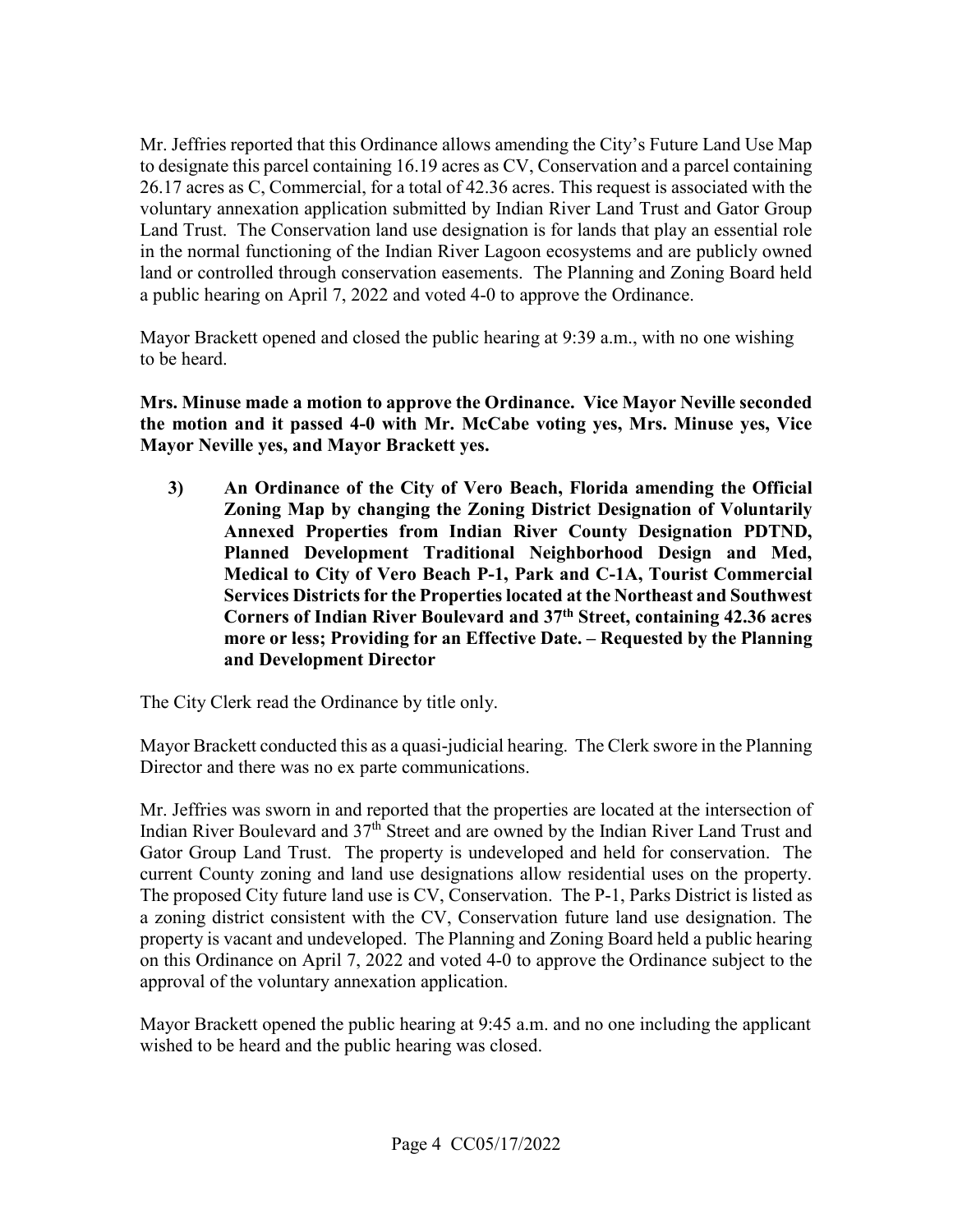Mr. Jeffries reported that this Ordinance allows amending the City's Future Land Use Map voluntary annexation application submitted by Indian River Land Trust and Gator Group in the normal functioning of the Indian River Lagoon ecosystems and are publicly owned a public hearing on April 7, 2022 and voted 4-0 to approve the Ordinance. to designate this parcel containing 16.19 acres as CV, Conservation and a parcel containing 26.17 acres as C, Commercial, for a total of 42.36 acres. This request is associated with the Land Trust. The Conservation land use designation is for lands that play an essential role land or controlled through conservation easements. The Planning and Zoning Board held

Mayor Brackett opened and closed the public hearing at 9:39 a.m., with no one wishing to be heard.

**Mrs. Minuse made a motion to approve the Ordinance. Vice Mayor Neville seconded the motion and it passed 4-0 with Mr. McCabe voting yes, Mrs. Minuse yes, Vice Mayor Neville yes, and Mayor Brackett yes.** 

**3) An Ordinance of the City of Vero Beach, Florida amending the Official Zoning Map by changing the Zoning District Designation of Voluntarily Annexed Properties from Indian River County Designation PDTND, Planned Development Traditional Neighborhood Design and Med, Medical to City of Vero Beach P-1, Park and C-1A, Tourist Commercial Services Districts for the Properties located at the Northeast and Southwest Corners of Indian River Boulevard and 37th Street, containing 42.36 acres more or less; Providing for an Effective Date. – Requested by the Planning and Development Director** 

The City Clerk read the Ordinance by title only.

Director and there was no ex parte communications. Mayor Brackett conducted this as a quasi-judicial hearing. The Clerk swore in the Planning

current County zoning and land use designations allow residential uses on the property. Mr. Jeffries was sworn in and reported that the properties are located at the intersection of Indian River Boulevard and 37th Street and are owned by the Indian River Land Trust and Gator Group Land Trust. The property is undeveloped and held for conservation. The The proposed City future land use is CV, Conservation. The P-1, Parks District is listed as a zoning district consistent with the CV, Conservation future land use designation. The property is vacant and undeveloped. The Planning and Zoning Board held a public hearing on this Ordinance on April 7, 2022 and voted 4-0 to approve the Ordinance subject to the approval of the voluntary annexation application.

 Mayor Brackett opened the public hearing at 9:45 a.m. and no one including the applicant wished to be heard and the public hearing was closed.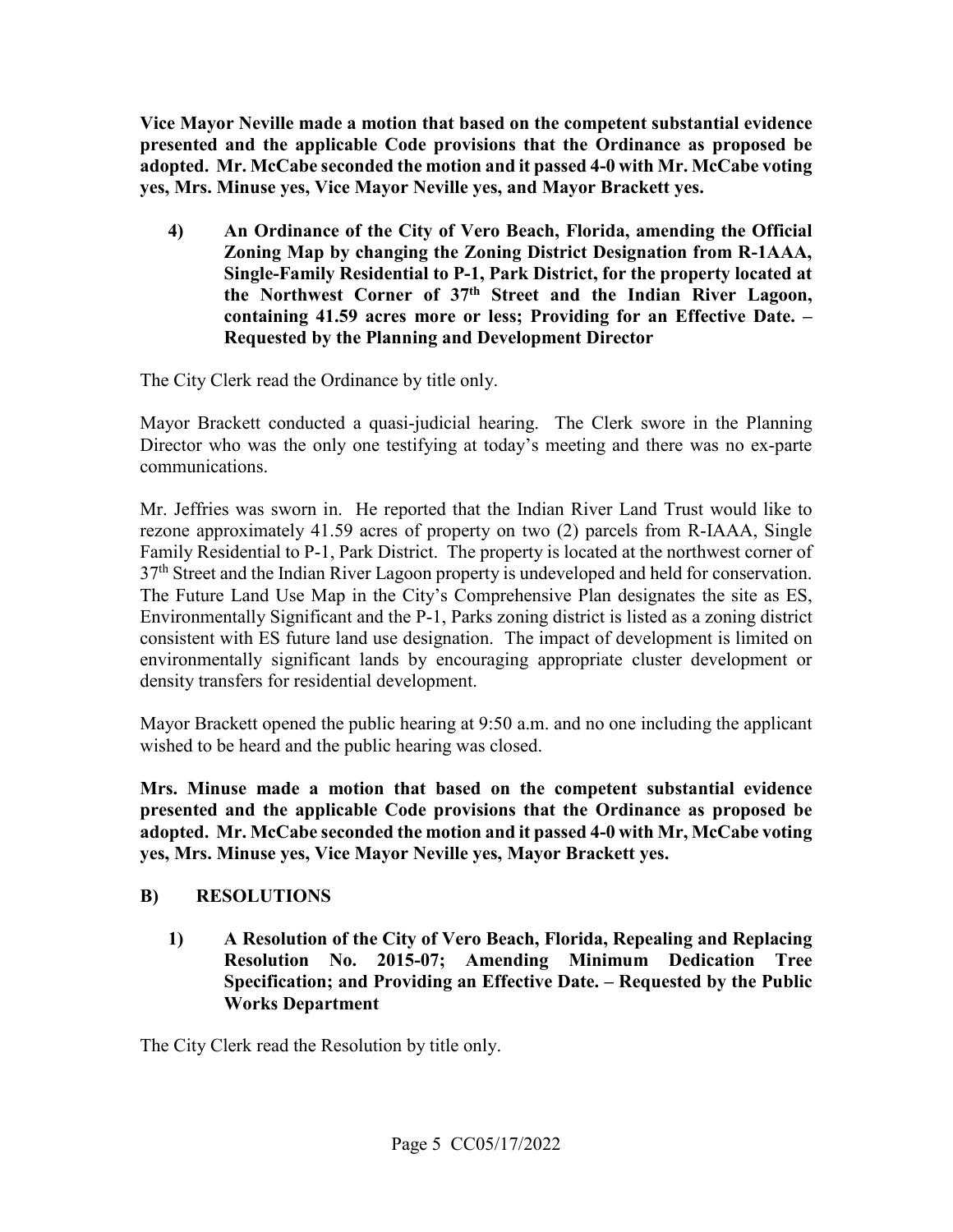**Vice Mayor Neville made a motion that based on the competent substantial evidence presented and the applicable Code provisions that the Ordinance as proposed be adopted. Mr. McCabe seconded the motion and it passed 4-0 with Mr. McCabe voting yes, Mrs. Minuse yes, Vice Mayor Neville yes, and Mayor Brackett yes.** 

**4) An Ordinance of the City of Vero Beach, Florida, amending the Official Zoning Map by changing the Zoning District Designation from R-1AAA, Single-Family Residential to P-1, Park District, for the property located at the Northwest Corner of 37th Street and the Indian River Lagoon, containing 41.59 acres more or less; Providing for an Effective Date. – Requested by the Planning and Development Director** 

The City Clerk read the Ordinance by title only.

Mayor Brackett conducted a quasi-judicial hearing. The Clerk swore in the Planning Director who was the only one testifying at today's meeting and there was no ex-parte communications.

 consistent with ES future land use designation. The impact of development is limited on environmentally significant lands by encouraging appropriate cluster development or Mr. Jeffries was sworn in. He reported that the Indian River Land Trust would like to rezone approximately 41.59 acres of property on two (2) parcels from R-IAAA, Single Family Residential to P-1, Park District. The property is located at the northwest corner of 37<sup>th</sup> Street and the Indian River Lagoon property is undeveloped and held for conservation. The Future Land Use Map in the City's Comprehensive Plan designates the site as ES, Environmentally Significant and the P-1, Parks zoning district is listed as a zoning district density transfers for residential development.

 Mayor Brackett opened the public hearing at 9:50 a.m. and no one including the applicant wished to be heard and the public hearing was closed.

 **Mrs. Minuse made a motion that based on the competent substantial evidence yes, Mrs. Minuse yes, Vice Mayor Neville yes, Mayor Brackett yes. B) RESOLUTIONS presented and the applicable Code provisions that the Ordinance as proposed be adopted. Mr. McCabe seconded the motion and it passed 4-0 with Mr, McCabe voting** 

**1) A Resolution of the City of Vero Beach, Florida, Repealing and Replacing Resolution No. 2015-07; Amending Minimum Dedication Tree Specification; and Providing an Effective Date. – Requested by the Public Works Department** 

The City Clerk read the Resolution by title only.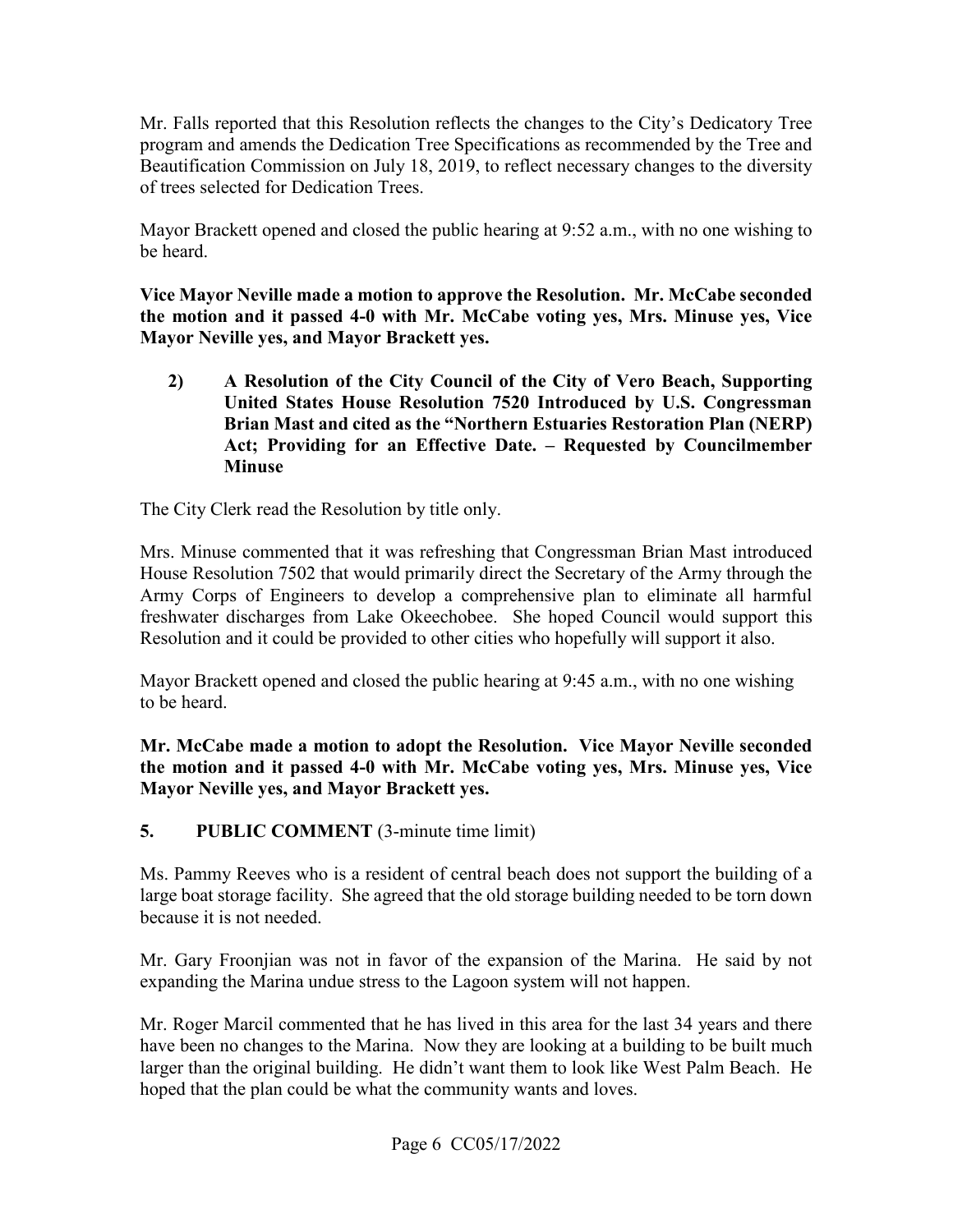program and amends the Dedication Tree Specifications as recommended by the Tree and Beautification Commission on July 18, 2019, to reflect necessary changes to the diversity Mr. Falls reported that this Resolution reflects the changes to the City's Dedicatory Tree of trees selected for Dedication Trees.

Mayor Brackett opened and closed the public hearing at 9:52 a.m., with no one wishing to be heard.

 **Vice Mayor Neville made a motion to approve the Resolution. Mr. McCabe seconded the motion and it passed 4-0 with Mr. McCabe voting yes, Mrs. Minuse yes, Vice Mayor Neville yes, and Mayor Brackett yes.** 

**2) A Resolution of the City Council of the City of Vero Beach, Supporting United States House Resolution 7520 Introduced by U.S. Congressman Brian Mast and cited as the "Northern Estuaries Restoration Plan (NERP) Act; Providing for an Effective Date. – Requested by Councilmember Minuse** 

The City Clerk read the Resolution by title only.

 House Resolution 7502 that would primarily direct the Secretary of the Army through the Mrs. Minuse commented that it was refreshing that Congressman Brian Mast introduced Army Corps of Engineers to develop a comprehensive plan to eliminate all harmful freshwater discharges from Lake Okeechobee. She hoped Council would support this Resolution and it could be provided to other cities who hopefully will support it also.

Mayor Brackett opened and closed the public hearing at 9:45 a.m., with no one wishing to be heard.

**Mr. McCabe made a motion to adopt the Resolution. Vice Mayor Neville seconded the motion and it passed 4-0 with Mr. McCabe voting yes, Mrs. Minuse yes, Vice Mayor Neville yes, and Mayor Brackett yes.** 

**5. PUBLIC COMMENT** (3-minute time limit)

 Ms. Pammy Reeves who is a resident of central beach does not support the building of a large boat storage facility. She agreed that the old storage building needed to be torn down because it is not needed.

 expanding the Marina undue stress to the Lagoon system will not happen. Mr. Gary Froonjian was not in favor of the expansion of the Marina. He said by not

 Mr. Roger Marcil commented that he has lived in this area for the last 34 years and there have been no changes to the Marina. Now they are looking at a building to be built much hoped that the plan could be what the community wants and loves. larger than the original building. He didn't want them to look like West Palm Beach. He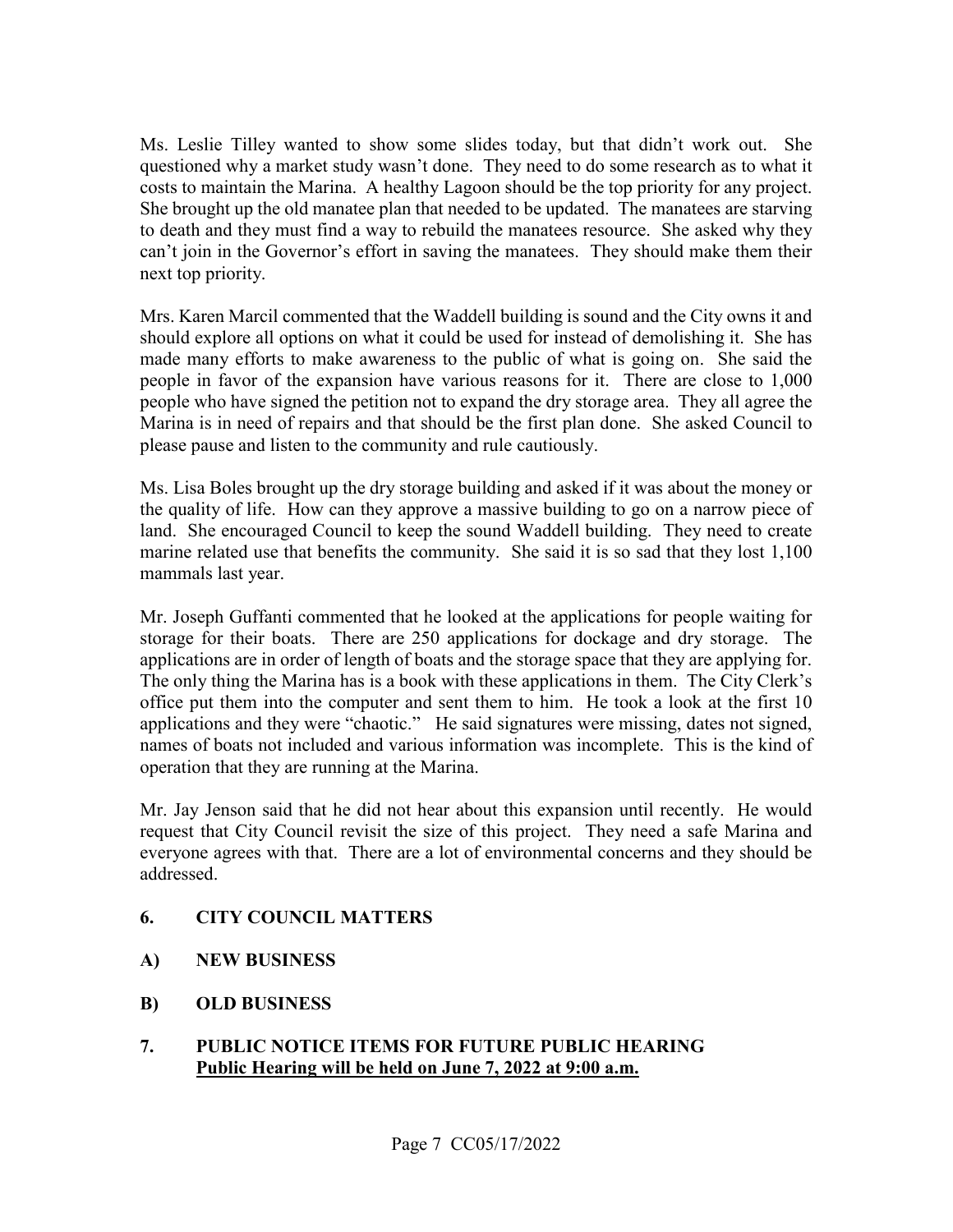questioned why a market study wasn't done. They need to do some research as to what it costs to maintain the Marina. A healthy Lagoon should be the top priority for any project. She brought up the old manatee plan that needed to be updated. The manatees are starving can't join in the Governor's effort in saving the manatees. They should make them their Ms. Leslie Tilley wanted to show some slides today, but that didn't work out. She to death and they must find a way to rebuild the manatees resource. She asked why they next top priority.

 people who have signed the petition not to expand the dry storage area. They all agree the please pause and listen to the community and rule cautiously. Mrs. Karen Marcil commented that the Waddell building is sound and the City owns it and should explore all options on what it could be used for instead of demolishing it. She has made many efforts to make awareness to the public of what is going on. She said the people in favor of the expansion have various reasons for it. There are close to 1,000 Marina is in need of repairs and that should be the first plan done. She asked Council to

 marine related use that benefits the community. She said it is so sad that they lost 1,100 Ms. Lisa Boles brought up the dry storage building and asked if it was about the money or the quality of life. How can they approve a massive building to go on a narrow piece of land. She encouraged Council to keep the sound Waddell building. They need to create mammals last year.

 storage for their boats. There are 250 applications for dockage and dry storage. The applications are in order of length of boats and the storage space that they are applying for. The only thing the Marina has is a book with these applications in them. The City Clerk's office put them into the computer and sent them to him. He took a look at the first 10 applications and they were "chaotic." He said signatures were missing, dates not signed, names of boats not included and various information was incomplete. This is the kind of Mr. Joseph Guffanti commented that he looked at the applications for people waiting for operation that they are running at the Marina.

 Mr. Jay Jenson said that he did not hear about this expansion until recently. He would request that City Council revisit the size of this project. They need a safe Marina and everyone agrees with that. There are a lot of environmental concerns and they should be addressed.

## **6. CITY COUNCIL MATTERS**

- **A) NEW BUSINESS**
- **B) OLD BUSINESS**
- **PUBLIC NOTICE ITEMS FOR FUTURE PUBLIC HEARING 7. PUBLIC NOTICE ITEMS FOR FUTURE PUBLIC HE**<br>**Public Hearing will be held on June 7, 2022 at 9:00 a.m.**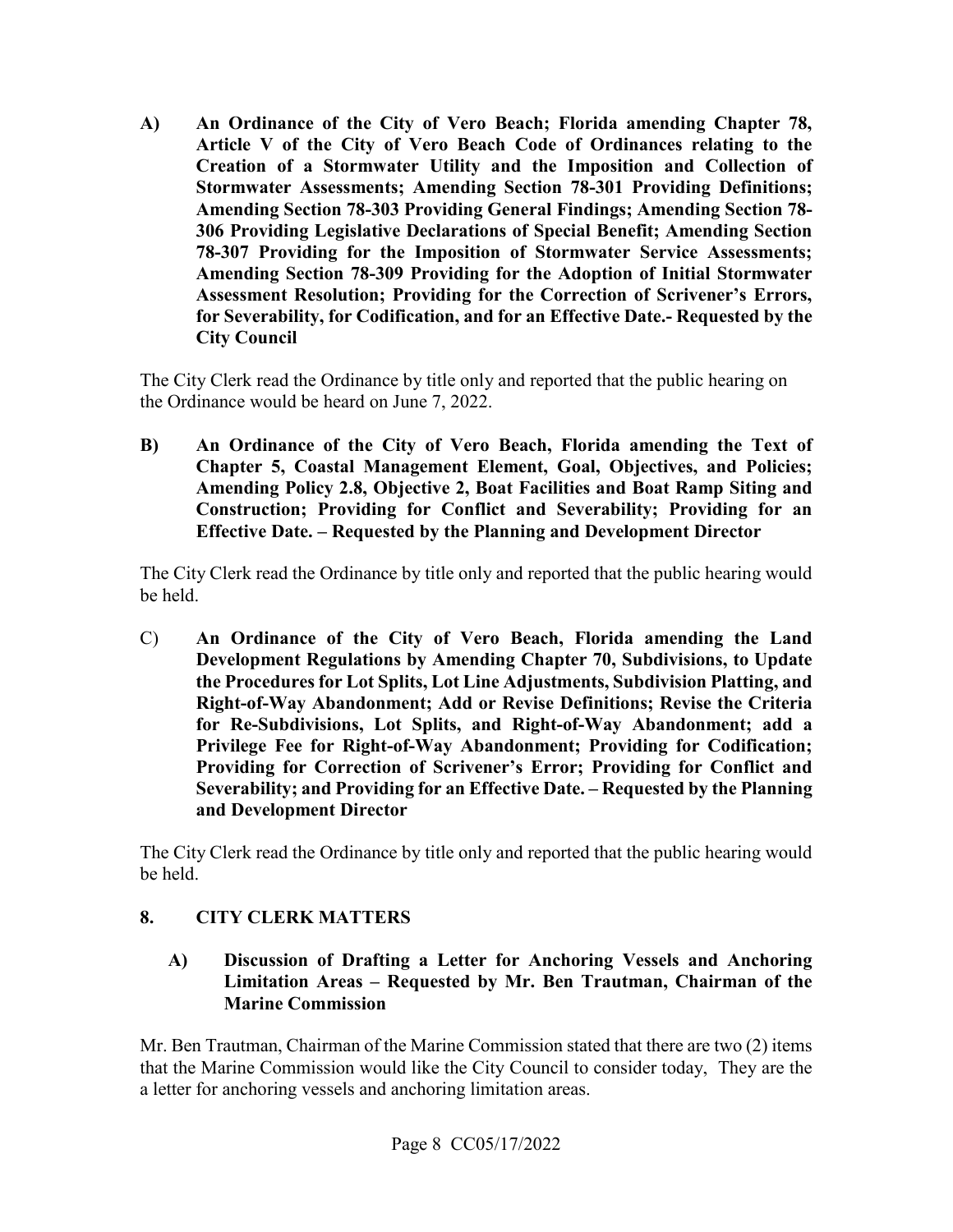**Article V of the City of Vero Beach Code of Ordinances relating to the A) An Ordinance of the City of Vero Beach; Florida amending Chapter 78, Creation of a Stormwater Utility and the Imposition and Collection of Stormwater Assessments; Amending Section 78-301 Providing Definitions; Amending Section 78-303 Providing General Findings; Amending Section 78- 306 Providing Legislative Declarations of Special Benefit; Amending Section 78-307 Providing for the Imposition of Stormwater Service Assessments; Amending Section 78-309 Providing for the Adoption of Initial Stormwater Assessment Resolution; Providing for the Correction of Scrivener's Errors, for Severability, for Codification, and for an Effective Date.- Requested by the City Council** 

The City Clerk read the Ordinance by title only and reported that the public hearing on the Ordinance would be heard on June 7, 2022.

 **Effective Date. – Requested by the Planning and Development Director B) An Ordinance of the City of Vero Beach, Florida amending the Text of Chapter 5, Coastal Management Element, Goal, Objectives, and Policies; Amending Policy 2.8, Objective 2, Boat Facilities and Boat Ramp Siting and Construction; Providing for Conflict and Severability; Providing for an** 

The City Clerk read the Ordinance by title only and reported that the public hearing would be held.

 **Development Regulations by Amending Chapter 70, Subdivisions, to Update for Re-Subdivisions, Lot Splits, and Right-of-Way Abandonment; add a Severability; and Providing for an Effective Date. – Requested by the Planning**  C) **An Ordinance of the City of Vero Beach, Florida amending the Land the Procedures for Lot Splits, Lot Line Adjustments, Subdivision Platting, and Right-of-Way Abandonment; Add or Revise Definitions; Revise the Criteria Privilege Fee for Right-of-Way Abandonment; Providing for Codification; Providing for Correction of Scrivener's Error; Providing for Conflict and and Development Director** 

The City Clerk read the Ordinance by title only and reported that the public hearing would be held.

# **8. CITY CLERK MATTERS**

**A) Discussion of Drafting a Letter for Anchoring Vessels and Anchoring Limitation Areas – Requested by Mr. Ben Trautman, Chairman of the Marine Commission** 

 that the Marine Commission would like the City Council to consider today, They are the a letter for anchoring vessels and anchoring limitation areas. Page 8 CC05/17/2022 Mr. Ben Trautman, Chairman of the Marine Commission stated that there are two (2) items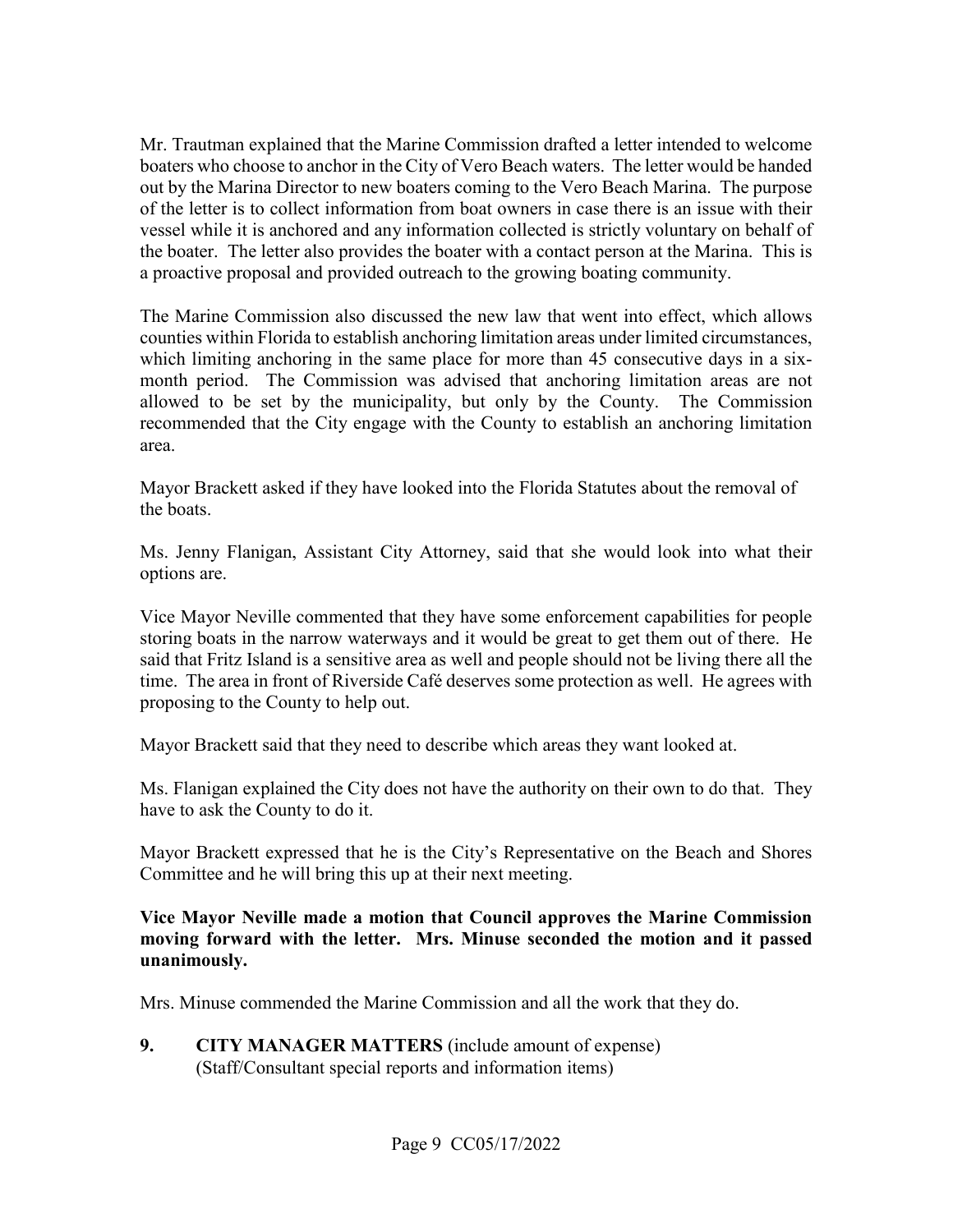vessel while it is anchored and any information collected is strictly voluntary on behalf of a proactive proposal and provided outreach to the growing boating community. Mr. Trautman explained that the Marine Commission drafted a letter intended to welcome boaters who choose to anchor in the City of Vero Beach waters. The letter would be handed out by the Marina Director to new boaters coming to the Vero Beach Marina. The purpose of the letter is to collect information from boat owners in case there is an issue with their the boater. The letter also provides the boater with a contact person at the Marina. This is

 which limiting anchoring in the same place for more than 45 consecutive days in a sixarea. The Marine Commission also discussed the new law that went into effect, which allows counties within Florida to establish anchoring limitation areas under limited circumstances, month period. The Commission was advised that anchoring limitation areas are not allowed to be set by the municipality, but only by the County. The Commission recommended that the City engage with the County to establish an anchoring limitation

area.<br>Mayor Brackett asked if they have looked into the Florida Statutes about the removal of the boats.

 Ms. Jenny Flanigan, Assistant City Attorney, said that she would look into what their options are.

 storing boats in the narrow waterways and it would be great to get them out of there. He said that Fritz Island is a sensitive area as well and people should not be living there all the time. The area in front of Riverside Café deserves some protection as well. He agrees with proposing to the County to help out. Vice Mayor Neville commented that they have some enforcement capabilities for people

Mayor Brackett said that they need to describe which areas they want looked at.

 Ms. Flanigan explained the City does not have the authority on their own to do that. They have to ask the County to do it.

 Committee and he will bring this up at their next meeting. Mayor Brackett expressed that he is the City's Representative on the Beach and Shores

#### **moving forward with the letter. Mrs. Minuse seconded the motion and it passed Vice Mayor Neville made a motion that Council approves the Marine Commission unanimously.**

Mrs. Minuse commended the Marine Commission and all the work that they do.

 (Staff/Consultant special reports and information items) Page 9 CC05/17/2022 **9. CITY MANAGER MATTERS** (include amount of expense)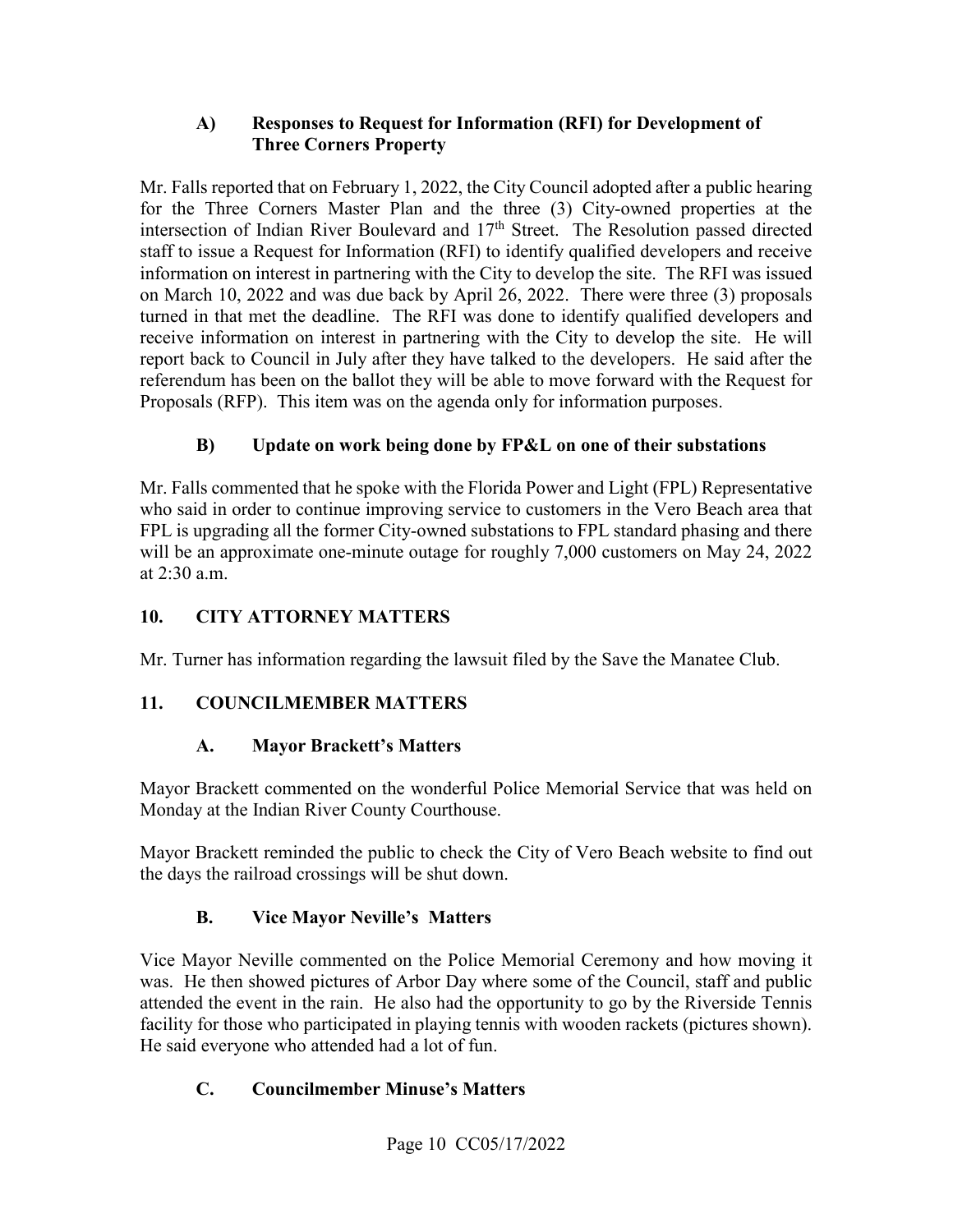## **A) Responses to Request for Information (RFI) for Development of Three Corners Property**

 for the Three Corners Master Plan and the three (3) City-owned properties at the information on interest in partnering with the City to develop the site. The RFI was issued report back to Council in July after they have talked to the developers. He said after the Proposals (RFP). This item was on the agenda only for information purposes. Mr. Falls reported that on February 1, 2022, the City Council adopted after a public hearing intersection of Indian River Boulevard and 17<sup>th</sup> Street. The Resolution passed directed staff to issue a Request for Information (RFI) to identify qualified developers and receive on March 10, 2022 and was due back by April 26, 2022. There were three (3) proposals turned in that met the deadline. The RFI was done to identify qualified developers and receive information on interest in partnering with the City to develop the site. He will referendum has been on the ballot they will be able to move forward with the Request for

# **B) Update on work being done by FP&L on one of their substations**

 Mr. Falls commented that he spoke with the Florida Power and Light (FPL) Representative will be an approximate one-minute outage for roughly 7,000 customers on May 24, 2022 who said in order to continue improving service to customers in the Vero Beach area that FPL is upgrading all the former City-owned substations to FPL standard phasing and there at 2:30 a.m.

# **10. CITY ATTORNEY MATTERS**

Mr. Turner has information regarding the lawsuit filed by the Save the Manatee Club.

# **11. COUNCILMEMBER MATTERS**

# **A. Mayor Brackett's Matters**

 Monday at the Indian River County Courthouse. Mayor Brackett commented on the wonderful Police Memorial Service that was held on

Mayor Brackett reminded the public to check the City of Vero Beach website to find out the days the railroad crossings will be shut down.

# **B. Vice Mayor Neville's Matters**

 was. He then showed pictures of Arbor Day where some of the Council, staff and public facility for those who participated in playing tennis with wooden rackets (pictures shown). Vice Mayor Neville commented on the Police Memorial Ceremony and how moving it attended the event in the rain. He also had the opportunity to go by the Riverside Tennis He said everyone who attended had a lot of fun.

# **C. Councilmember Minuse's Matters**